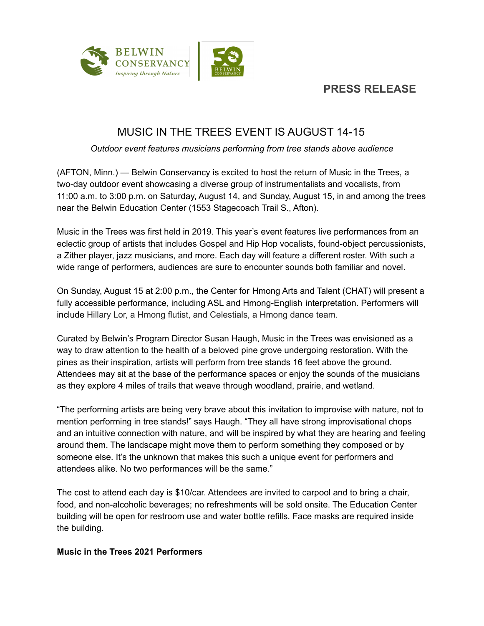

## **PRESS RELEASE**

# MUSIC IN THE TREES EVENT IS AUGUST 14-15

*Outdoor event features musicians performing from tree stands above audience*

(AFTON, Minn.) — Belwin Conservancy is excited to host the return of Music in the Trees, a two-day outdoor event showcasing a diverse group of instrumentalists and vocalists, from 11:00 a.m. to 3:00 p.m. on Saturday, August 14, and Sunday, August 15, in and among the trees near the Belwin Education Center (1553 Stagecoach Trail S., Afton).

Music in the Trees was first held in 2019. This year's event features live performances from an eclectic group of artists that includes Gospel and Hip Hop vocalists, found-object percussionists, a Zither player, jazz musicians, and more. Each day will feature a different roster. With such a wide range of performers, audiences are sure to encounter sounds both familiar and novel.

On Sunday, August 15 at 2:00 p.m., the Center for Hmong Arts and Talent (CHAT) will present a fully accessible performance, including ASL and Hmong-English interpretation. Performers will include Hillary Lor, a Hmong flutist, and Celestials, a Hmong dance team.

Curated by Belwin's Program Director Susan Haugh, Music in the Trees was envisioned as a way to draw attention to the health of a beloved pine grove undergoing restoration. With the pines as their inspiration, artists will perform from tree stands 16 feet above the ground. Attendees may sit at the base of the performance spaces or enjoy the sounds of the musicians as they explore 4 miles of trails that weave through woodland, prairie, and wetland.

"The performing artists are being very brave about this invitation to improvise with nature, not to mention performing in tree stands!" says Haugh. "They all have strong improvisational chops and an intuitive connection with nature, and will be inspired by what they are hearing and feeling around them. The landscape might move them to perform something they composed or by someone else. It's the unknown that makes this such a unique event for performers and attendees alike. No two performances will be the same."

The cost to attend each day is \$10/car. Attendees are invited to carpool and to bring a chair, food, and non-alcoholic beverages; no refreshments will be sold onsite. The Education Center building will be open for restroom use and water bottle refills. Face masks are required inside the building.

### **Music in the Trees 2021 Performers**